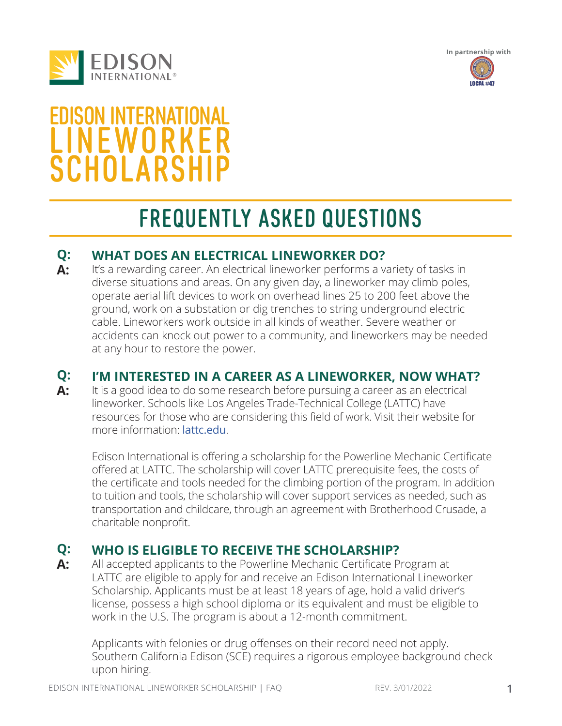





# EDISON INTERNATIONAL **LINEWORKER SCHOLARSHIP**

# FREQUENTLY ASKED QUESTIONS

# **WHAT DOES AN ELECTRICAL LINEWORKER DO? Q:**

It's a rewarding career. An electrical lineworker performs a variety of tasks in diverse situations and areas. On any given day, a lineworker may climb poles, operate aerial lift devices to work on overhead lines 25 to 200 feet above the ground, work on a substation or dig trenches to string underground electric cable. Lineworkers work outside in all kinds of weather. Severe weather or accidents can knock out power to a community, and lineworkers may be needed at any hour to restore the power. **A:**

### **I'M INTERESTED IN A CAREER AS A LINEWORKER, NOW WHAT? Q:**

It is a good idea to do some research before pursuing a career as an electrical lineworker. Schools like Los Angeles Trade-Technical College (LATTC) have resources for those who are considering this field of work. Visit their website for more information: lattc.edu. **A:**

Edison International is offering a scholarship for the Powerline Mechanic Certificate offered at LATTC. The scholarship will cover LATTC prerequisite fees, the costs of the certificate and tools needed for the climbing portion of the program. In addition to tuition and tools, the scholarship will cover support services as needed, such as transportation and childcare, through an agreement with Brotherhood Crusade, a charitable nonprofit.

# **WHO IS ELIGIBLE TO RECEIVE THE SCHOLARSHIP? Q: A:**

All accepted applicants to the Powerline Mechanic Certificate Program at LATTC are eligible to apply for and receive an Edison International Lineworker Scholarship. Applicants must be at least 18 years of age, hold a valid driver's license, possess a high school diploma or its equivalent and must be eligible to work in the U.S. The program is about a 12-month commitment.

Applicants with felonies or drug offenses on their record need not apply. Southern California Edison (SCE) requires a rigorous employee background check upon hiring.